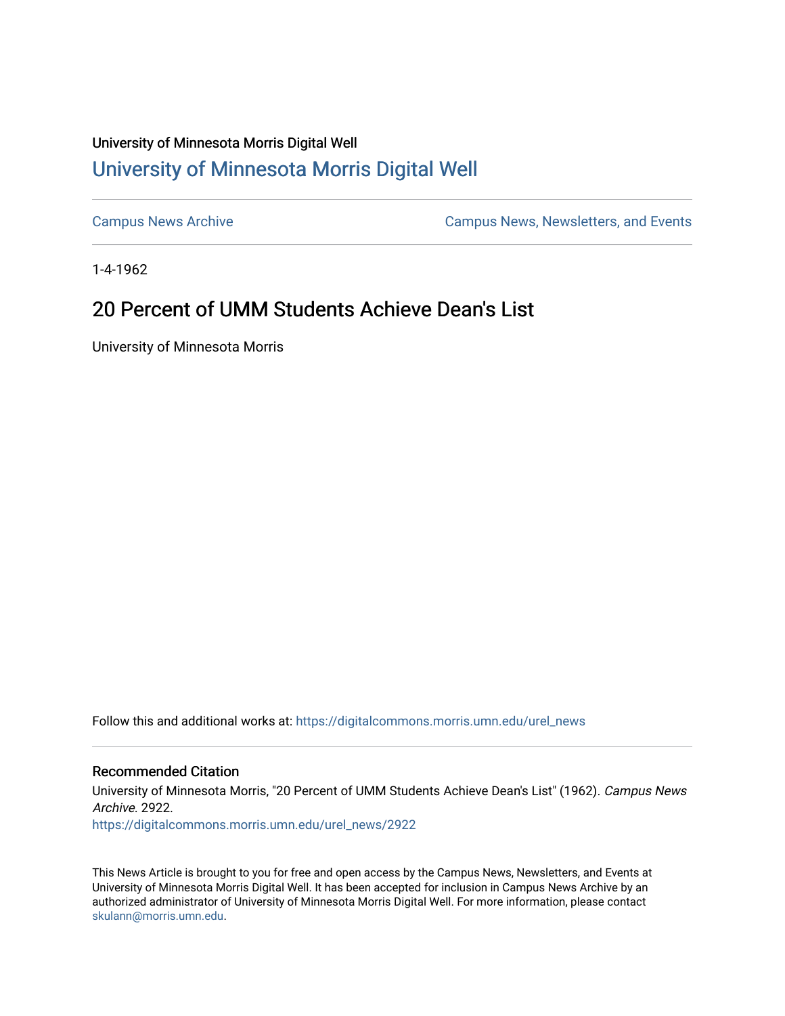## University of Minnesota Morris Digital Well [University of Minnesota Morris Digital Well](https://digitalcommons.morris.umn.edu/)

[Campus News Archive](https://digitalcommons.morris.umn.edu/urel_news) [Campus News, Newsletters, and Events](https://digitalcommons.morris.umn.edu/externalrel) 

1-4-1962

## 20 Percent of UMM Students Achieve Dean's List

University of Minnesota Morris

Follow this and additional works at: [https://digitalcommons.morris.umn.edu/urel\\_news](https://digitalcommons.morris.umn.edu/urel_news?utm_source=digitalcommons.morris.umn.edu%2Furel_news%2F2922&utm_medium=PDF&utm_campaign=PDFCoverPages) 

## Recommended Citation

University of Minnesota Morris, "20 Percent of UMM Students Achieve Dean's List" (1962). Campus News Archive. 2922.

[https://digitalcommons.morris.umn.edu/urel\\_news/2922](https://digitalcommons.morris.umn.edu/urel_news/2922?utm_source=digitalcommons.morris.umn.edu%2Furel_news%2F2922&utm_medium=PDF&utm_campaign=PDFCoverPages) 

This News Article is brought to you for free and open access by the Campus News, Newsletters, and Events at University of Minnesota Morris Digital Well. It has been accepted for inclusion in Campus News Archive by an authorized administrator of University of Minnesota Morris Digital Well. For more information, please contact [skulann@morris.umn.edu.](mailto:skulann@morris.umn.edu)